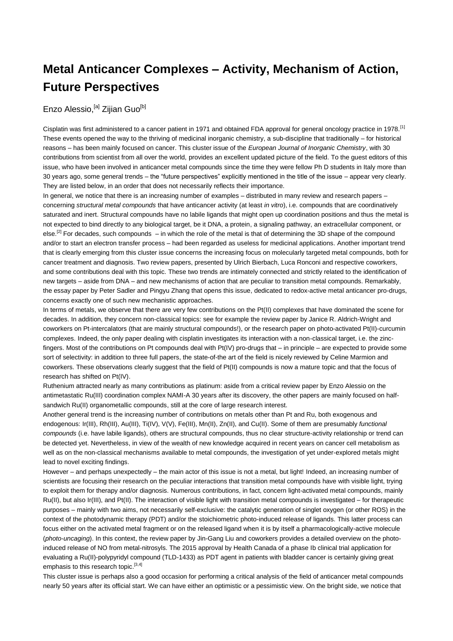## **Metal Anticancer Complexes – Activity, Mechanism of Action, Future Perspectives**

## Enzo Alessio, <sup>[a]</sup> Zijian Guo<sup>[b]</sup>

Cisplatin was first administered to a cancer patient in 1971 and obtained FDA approval for general oncology practice in 1978.[1] These events opened the way to the thriving of medicinal inorganic chemistry, a sub-discipline that traditionally – for historical reasons – has been mainly focused on cancer. This cluster issue of the *European Journal of Inorganic Chemistry*, with 30 contributions from scientist from all over the world, provides an excellent updated picture of the field. To the guest editors of this issue, who have been involved in anticancer metal compounds since the time they were fellow Ph D students in Italy more than 30 years ago, some general trends – the "future perspectives" explicitly mentioned in the title of the issue – appear very clearly. They are listed below, in an order that does not necessarily reflects their importance.

In general, we notice that there is an increasing number of examples – distributed in many review and research papers – concerning *structural metal compounds* that have anticancer activity (at least *in vitro*), i.e. compounds that are coordinatively saturated and inert. Structural compounds have no labile ligands that might open up coordination positions and thus the metal is not expected to bind directly to any biological target, be it DNA, a protein, a signaling pathway, an extracellular component, or  $e^{[2]}$  For decades, such compounds – in which the role of the metal is that of determining the 3D shape of the compound and/or to start an electron transfer process – had been regarded as useless for medicinal applications. Another important trend that is clearly emerging from this cluster issue concerns the increasing focus on molecularly targeted metal compounds, both for cancer treatment and diagnosis. Two review papers, presented by Ulrich Bierbach, Luca Ronconi and respective coworkers, and some contributions deal with this topic. These two trends are intimately connected and strictly related to the identification of new targets – aside from DNA – and new mechanisms of action that are peculiar to transition metal compounds. Remarkably, the essay paper by Peter Sadler and Pingyu Zhang that opens this issue, dedicated to redox-active metal anticancer pro-drugs, concerns exactly one of such new mechanistic approaches.

In terms of metals, we observe that there are very few contributions on the Pt(II) complexes that have dominated the scene for decades. In addition, they concern non-classical topics: see for example the review paper by Janice R. Aldrich-Wright and coworkers on Pt-intercalators (that are mainly structural compounds!), or the research paper on photo-activated Pt(II)-curcumin complexes. Indeed, the only paper dealing with cisplatin investigates its interaction with a non-classical target, i.e. the zincfingers. Most of the contributions on Pt compounds deal with Pt(IV) pro-drugs that – in principle – are expected to provide some sort of selectivity: in addition to three full papers, the state-of-the art of the field is nicely reviewed by Celine Marmion and coworkers. These observations clearly suggest that the field of Pt(II) compounds is now a mature topic and that the focus of research has shifted on Pt(IV).

Ruthenium attracted nearly as many contributions as platinum: aside from a critical review paper by Enzo Alessio on the antimetastatic Ru(III) coordination complex NAMI-A 30 years after its discovery, the other papers are mainly focused on halfsandwich Ru(II) organometallic compounds, still at the core of large research interest.

Another general trend is the increasing number of contributions on metals other than Pt and Ru, both exogenous and endogenous: Ir(III), Rh(III), Au(III), Ti(IV), V(V), Fe(III), Mn(II), Zn(II), and Cu(II). Some of them are presumably *functional compounds* (i.e. have labile ligands), others are structural compounds, thus no clear structure-activity relationship or trend can be detected yet. Nevertheless, in view of the wealth of new knowledge acquired in recent years on cancer cell metabolism as well as on the non-classical mechanisms available to metal compounds, the investigation of yet under-explored metals might lead to novel exciting findings.

However – and perhaps unexpectedly – the main actor of this issue is not a metal, but light! Indeed, an increasing number of scientists are focusing their research on the peculiar interactions that transition metal compounds have with visible light, trying to exploit them for therapy and/or diagnosis. Numerous contributions, in fact, concern light-activated metal compounds, mainly Ru(II), but also Ir(III), and Pt(II). The interaction of visible light with transition metal compounds is investigated – for therapeutic purposes – mainly with two aims, not necessarily self-exclusive: the catalytic generation of singlet oxygen (or other ROS) in the context of the photodynamic therapy (PDT) and/or the stoichiometric photo-induced release of ligands. This latter process can focus either on the activated metal fragment or on the released ligand when it is by itself a pharmacologically-active molecule (*photo-uncaging*). In this context, the review paper by Jin-Gang Liu and coworkers provides a detailed overview on the photoinduced release of NO from metal-nitrosyls. The 2015 approval by Health Canada of a phase Ib clinical trial application for evaluating a Ru(II)-polypyridyl compound (TLD-1433) as PDT agent in patients with bladder cancer is certainly giving great emphasis to this research topic.<sup>[3,4]</sup>

This cluster issue is perhaps also a good occasion for performing a critical analysis of the field of anticancer metal compounds nearly 50 years after its official start. We can have either an optimistic or a pessimistic view. On the bright side, we notice that